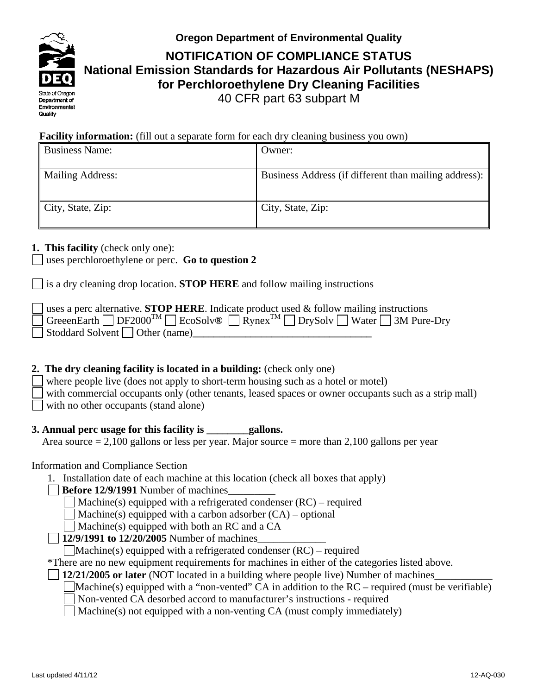

**Oregon Department of Environmental Quality**

**NOTIFICATION OF COMPLIANCE STATUS National Emission Standards for Hazardous Air Pollutants (NESHAPS) for Perchloroethylene Dry Cleaning Facilities** 40 CFR part 63 subpart M

## **Facility information:** (fill out a separate form for each dry cleaning business you own)

| <b>Business Name:</b>         | Owner:                                                |
|-------------------------------|-------------------------------------------------------|
| <b>Mailing Address:</b>       | Business Address (if different than mailing address): |
| $\parallel$ City, State, Zip: | City, State, Zip:                                     |

## **1. This facility** (check only one):

uses perchloroethylene or perc. **Go to question 2**

is a dry cleaning drop location. **STOP HERE** and follow mailing instructions

| s a perc alternative. <b>STOP HERE</b> . Indicate product used $\&$ follow mailing instructions                                          |
|------------------------------------------------------------------------------------------------------------------------------------------|
| $\Box$ GreeenEarth $\Box$ DF2000 <sup>TM</sup> $\Box$ EcoSolv® $\Box$ Rynex <sup>TM</sup> $\Box$ DrySolv $\Box$ Water $\Box$ 3M Pure-Dry |
| Stoddard Solvent Other (name)                                                                                                            |

# **2. The dry cleaning facility is located in a building:** (check only one)

where people live (does not apply to short-term housing such as a hotel or motel) with commercial occupants only (other tenants, leased spaces or owner occupants such as a strip mall) with no other occupants (stand alone)

# **3. Annual perc usage for this facility is \_\_\_\_\_\_\_\_gallons.**

Area source  $= 2,100$  gallons or less per year. Major source  $=$  more than 2,100 gallons per year

# Information and Compliance Section

1. Installation date of each machine at this location (check all boxes that apply)

**Before 12/9/1991** Number of machines\_\_\_\_\_\_\_\_\_

Machine(s) equipped with a refrigerated condenser (RC) – required

Machine(s) equipped with a carbon adsorber  $(CA)$  – optional

Machine(s) equipped with both an RC and a CA

**12/9/1991 to 12/20/2005** Number of machines\_\_\_\_\_\_\_\_\_\_\_\_\_

 $\Box$ Machine(s) equipped with a refrigerated condenser (RC) – required

\*There are no new equipment requirements for machines in either of the categories listed above.

**12/21/2005 or later** (NOT located in a building where people live) Number of machines\_\_\_\_\_\_\_\_\_\_\_

- Machine(s) equipped with a "non-vented" CA in addition to the  $RC$  required (must be verifiable)
- Non-vented CA desorbed accord to manufacturer's instructions required

Machine(s) not equipped with a non-venting CA (must comply immediately)